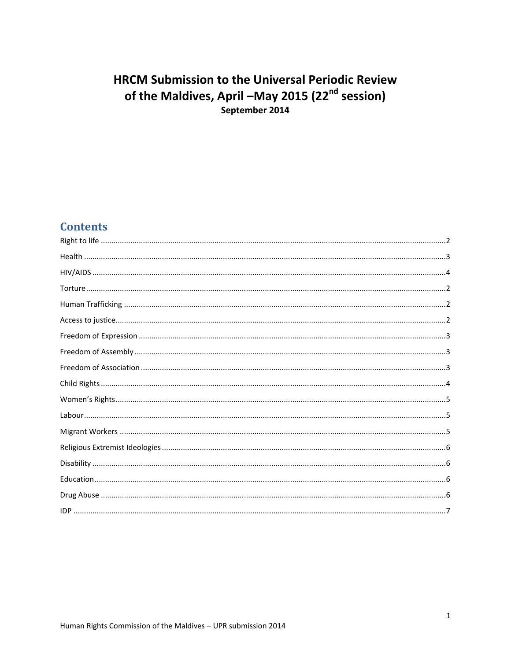# **HRCM Submission to the Universal Periodic Review** of the Maldives, April -May 2015 (22<sup>nd</sup> session) September 2014

# **Contents**

| $\bf{Health  \,\,{}  \,\,{}  \,\,{}  \,\,{} 3}$ |  |
|-------------------------------------------------|--|
|                                                 |  |
|                                                 |  |
|                                                 |  |
|                                                 |  |
|                                                 |  |
|                                                 |  |
|                                                 |  |
|                                                 |  |
|                                                 |  |
|                                                 |  |
|                                                 |  |
|                                                 |  |
|                                                 |  |
|                                                 |  |
|                                                 |  |
|                                                 |  |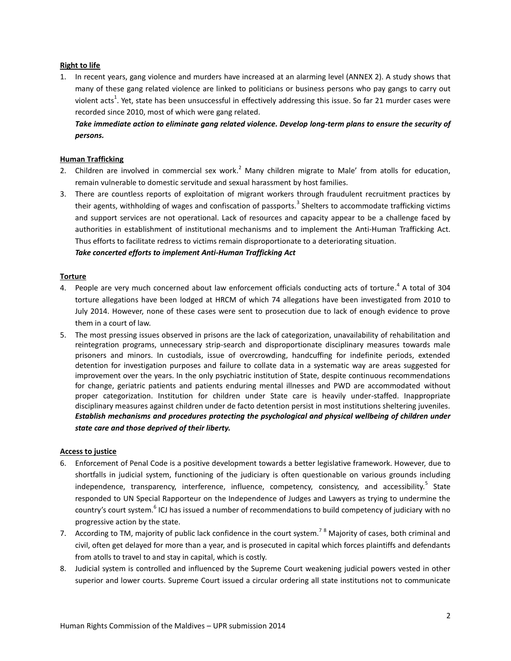# <span id="page-1-0"></span>**Right to life**

1. In recent years, gang violence and murders have increased at an alarming level (ANNEX 2). A study shows that many of these gang related violence are linked to politicians or business persons who pay gangs to carry out violent acts<sup>1</sup>. Yet, state has been unsuccessful in effectively addressing this issue. So far 21 murder cases were recorded since 2010, most of which were gang related.

*Take immediate action to eliminate gang related violence. Develop long-term plans to ensure the security of persons.* 

# <span id="page-1-2"></span>**Human Trafficking**

- 2. Children are involved in commercial sex work.<sup>2</sup> Many children migrate to Male' from atolls for education, remain vulnerable to domestic servitude and sexual harassment by host families.
- 3. There are countless reports of exploitation of migrant workers through fraudulent recruitment practices by their agents, withholding of wages and confiscation of passports.<sup>3</sup> Shelters to accommodate trafficking victims and support services are not operational. Lack of resources and capacity appear to be a challenge faced by authorities in establishment of institutional mechanisms and to implement the Anti-Human Trafficking Act. Thus efforts to facilitate redress to victims remain disproportionate to a deteriorating situation.

*Take concerted efforts to implement Anti-Human Trafficking Act*

#### <span id="page-1-1"></span>**Torture**

- 4. People are very much concerned about law enforcement officials conducting acts of torture.<sup>4</sup> A total of 304 torture allegations have been lodged at HRCM of which 74 allegations have been investigated from 2010 to July 2014. However, none of these cases were sent to prosecution due to lack of enough evidence to prove them in a court of law.
- 5. The most pressing issues observed in prisons are the lack of categorization, unavailability of rehabilitation and reintegration programs, unnecessary strip-search and disproportionate disciplinary measures towards male prisoners and minors. In custodials, issue of overcrowding, handcuffing for indefinite periods, extended detention for investigation purposes and failure to collate data in a systematic way are areas suggested for improvement over the years. In the only psychiatric institution of State, despite continuous recommendations for change, geriatric patients and patients enduring mental illnesses and PWD are accommodated without proper categorization. Institution for children under State care is heavily under-staffed. Inappropriate disciplinary measures against children under de facto detention persist in most institutions sheltering juveniles. *Establish mechanisms and procedures protecting the psychological and physical wellbeing of children under state care and those deprived of their liberty.*

#### <span id="page-1-3"></span>**Access to justice**

- 6. Enforcement of Penal Code is a positive development towards a better legislative framework. However, due to shortfalls in judicial system, functioning of the judiciary is often questionable on various grounds including independence, transparency, interference, influence, competency, consistency, and accessibility.<sup>5</sup> State responded to UN Special Rapporteur on the Independence of Judges and Lawyers as trying to undermine the country's court system.<sup>6</sup> ICJ has issued a number of recommendations to build competency of judiciary with no progressive action by the state.
- 7. According to TM, majority of public lack confidence in the court system.<sup>78</sup> Majority of cases, both criminal and civil, often get delayed for more than a year, and is prosecuted in capital which forces plaintiffs and defendants from atolls to travel to and stay in capital, which is costly.
- 8. Judicial system is controlled and influenced by the Supreme Court weakening judicial powers vested in other superior and lower courts. Supreme Court issued a circular ordering all state institutions not to communicate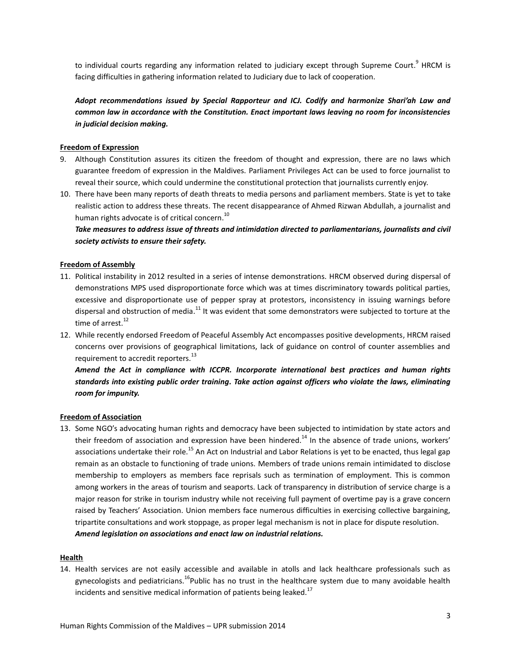to individual courts regarding any information related to judiciary except through Supreme Court.<sup>9</sup> HRCM is facing difficulties in gathering information related to Judiciary due to lack of cooperation.

*Adopt recommendations issued by Special Rapporteur and ICJ. Codify and harmonize Shari'ah Law and common law in accordance with the Constitution. Enact important laws leaving no room for inconsistencies in judicial decision making.*

# <span id="page-2-1"></span>**Freedom of Expression**

- 9. Although Constitution assures its citizen the freedom of thought and expression, there are no laws which guarantee freedom of expression in the Maldives. Parliament Privileges Act can be used to force journalist to reveal their source, which could undermine the constitutional protection that journalists currently enjoy.
- 10. There have been many reports of death threats to media persons and parliament members. State is yet to take realistic action to address these threats. The recent disappearance of Ahmed Rizwan Abdullah, a journalist and human rights advocate is of critical concern. 10

*Take measures to address issue of threats and intimidation directed to parliamentarians, journalists and civil society activists to ensure their safety.*

# <span id="page-2-2"></span>**Freedom of Assembly**

- 11. Political instability in 2012 resulted in a series of intense demonstrations. HRCM observed during dispersal of demonstrations MPS used disproportionate force which was at times discriminatory towards political parties, excessive and disproportionate use of pepper spray at protestors, inconsistency in issuing warnings before dispersal and obstruction of media.<sup>11</sup> It was evident that some demonstrators were subjected to torture at the time of arrest.<sup>12</sup>
- 12. While recently endorsed Freedom of Peaceful Assembly Act encompasses positive developments, HRCM raised concerns over provisions of geographical limitations, lack of guidance on control of counter assemblies and requirement to accredit reporters.<sup>13</sup>

*Amend the Act in compliance with ICCPR. Incorporate international best practices and human rights standards into existing public order training. Take action against officers who violate the laws, eliminating room for impunity.*

#### <span id="page-2-3"></span>**Freedom of Association**

13. Some NGO's advocating human rights and democracy have been subjected to intimidation by state actors and their freedom of association and expression have been hindered.<sup>14</sup> In the absence of trade unions, workers' associations undertake their role.<sup>15</sup> An Act on Industrial and Labor Relations is yet to be enacted, thus legal gap remain as an obstacle to functioning of trade unions. Members of trade unions remain intimidated to disclose membership to employers as members face reprisals such as termination of employment. This is common among workers in the areas of tourism and seaports. Lack of transparency in distribution of service charge is a major reason for strike in tourism industry while not receiving full payment of overtime pay is a grave concern raised by Teachers' Association. Union members face numerous difficulties in exercising collective bargaining, tripartite consultations and work stoppage, as proper legal mechanism is not in place for dispute resolution. *Amend legislation on associations and enact law on industrial relations.*

#### <span id="page-2-0"></span>**Health**

14. Health services are not easily accessible and available in atolls and lack healthcare professionals such as gynecologists and pediatricians.<sup>16</sup>Public has no trust in the healthcare system due to many avoidable health incidents and sensitive medical information of patients being leaked.<sup>17</sup>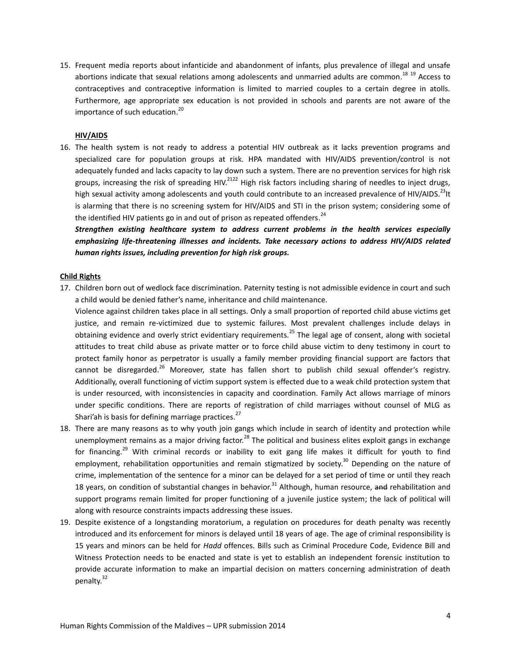15. Frequent media reports about infanticide and abandonment of infants, plus prevalence of illegal and unsafe abortions indicate that sexual relations among adolescents and unmarried adults are common.<sup>18 19</sup> Access to contraceptives and contraceptive information is limited to married couples to a certain degree in atolls. Furthermore, age appropriate sex education is not provided in schools and parents are not aware of the importance of such education. 20

#### **HIV/AIDS**

<span id="page-3-0"></span>16. The health system is not ready to address a potential HIV outbreak as it lacks prevention programs and specialized care for population groups at risk. HPA mandated with HIV/AIDS prevention/control is not adequately funded and lacks capacity to lay down such a system. There are no prevention services for high risk groups, increasing the risk of spreading HIV.<sup>2122</sup> High risk factors including sharing of needles to inject drugs, high sexual activity among adolescents and youth could contribute to an increased prevalence of HIV/AIDS.<sup>23</sup>It is alarming that there is no screening system for HIV/AIDS and STI in the prison system; considering some of the identified HIV patients go in and out of prison as repeated offenders.<sup>24</sup>

*Strengthen existing healthcare system to address current problems in the health services especially emphasizing life-threatening illnesses and incidents. Take necessary actions to address HIV/AIDS related human rights issues, including prevention for high risk groups.*

#### <span id="page-3-1"></span>**Child Rights**

17. Children born out of wedlock face discrimination. Paternity testing is not admissible evidence in court and such a child would be denied father's name, inheritance and child maintenance.

Violence against children takes place in all settings. Only a small proportion of reported child abuse victims get justice, and remain re-victimized due to systemic failures. Most prevalent challenges include delays in obtaining evidence and overly strict evidentiary requirements.<sup>25</sup> The legal age of consent, along with societal attitudes to treat child abuse as private matter or to force child abuse victim to deny testimony in court to protect family honor as perpetrator is usually a family member providing financial support are factors that cannot be disregarded.<sup>26</sup> Moreover, state has fallen short to publish child sexual offender's registry. Additionally, overall functioning of victim support system is effected due to a weak child protection system that is under resourced, with inconsistencies in capacity and coordination. Family Act allows marriage of minors under specific conditions. There are reports of registration of child marriages without counsel of MLG as Shari'ah is basis for defining marriage practices.<sup>27</sup>

- 18. There are many reasons as to why youth join gangs which include in search of identity and protection while unemployment remains as a major driving factor.<sup>28</sup> The political and business elites exploit gangs in exchange for financing.<sup>29</sup> With criminal records or inability to exit gang life makes it difficult for youth to find employment, rehabilitation opportunities and remain stigmatized by society.<sup>30</sup> Depending on the nature of crime, implementation of the sentence for a minor can be delayed for a set period of time or until they reach 18 years, on condition of substantial changes in behavior.<sup>31</sup> Although, human resource, <del>and</del> rehabilitation and support programs remain limited for proper functioning of a juvenile justice system; the lack of political will along with resource constraints impacts addressing these issues.
- 19. Despite existence of a longstanding moratorium, a regulation on procedures for death penalty was recently introduced and its enforcement for minors is delayed until 18 years of age. The age of criminal responsibility is 15 years and minors can be held for *Hadd* offences. Bills such as Criminal Procedure Code, Evidence Bill and Witness Protection needs to be enacted and state is yet to establish an independent forensic institution to provide accurate information to make an impartial decision on matters concerning administration of death penalty.<sup>32</sup>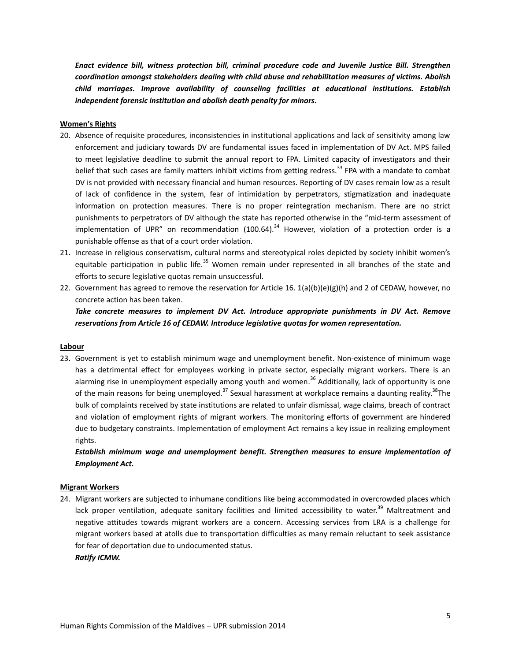*Enact evidence bill, witness protection bill, criminal procedure code and Juvenile Justice Bill. Strengthen coordination amongst stakeholders dealing with child abuse and rehabilitation measures of victims. Abolish child marriages. Improve availability of counseling facilities at educational institutions. Establish independent forensic institution and abolish death penalty for minors.*

#### <span id="page-4-0"></span>**Women's Rights**

- 20. Absence of requisite procedures, inconsistencies in institutional applications and lack of sensitivity among law enforcement and judiciary towards DV are fundamental issues faced in implementation of DV Act. MPS failed to meet legislative deadline to submit the annual report to FPA. Limited capacity of investigators and their belief that such cases are family matters inhibit victims from getting redress.<sup>33</sup> FPA with a mandate to combat DV is not provided with necessary financial and human resources. Reporting of DV cases remain low as a result of lack of confidence in the system, fear of intimidation by perpetrators, stigmatization and inadequate information on protection measures. There is no proper reintegration mechanism. There are no strict punishments to perpetrators of DV although the state has reported otherwise in the "mid-term assessment of implementation of UPR" on recommendation (100.64).<sup>34</sup> However, violation of a protection order is a punishable offense as that of a court order violation.
- 21. Increase in religious conservatism, cultural norms and stereotypical roles depicted by society inhibit women's equitable participation in public life.<sup>35</sup> Women remain under represented in all branches of the state and efforts to secure legislative quotas remain unsuccessful.
- 22. Government has agreed to remove the reservation for Article 16.  $1(a)(b)(e)(g)(h)$  and 2 of CEDAW, however, no concrete action has been taken.

*Take concrete measures to implement DV Act. Introduce appropriate punishments in DV Act. Remove reservations from Article 16 of CEDAW. Introduce legislative quotas for women representation.* 

#### <span id="page-4-1"></span>**Labour**

23. Government is yet to establish minimum wage and unemployment benefit. Non-existence of minimum wage has a detrimental effect for employees working in private sector, especially migrant workers. There is an alarming rise in unemployment especially among youth and women.<sup>36</sup> Additionally, lack of opportunity is one of the main reasons for being unemployed.<sup>37</sup> Sexual harassment at workplace remains a daunting reality.<sup>38</sup>The bulk of complaints received by state institutions are related to unfair dismissal, wage claims, breach of contract and violation of employment rights of migrant workers. The monitoring efforts of government are hindered due to budgetary constraints. Implementation of employment Act remains a key issue in realizing employment rights.

*Establish minimum wage and unemployment benefit. Strengthen measures to ensure implementation of Employment Act.*

#### <span id="page-4-2"></span>**Migrant Workers**

24. Migrant workers are subjected to inhumane conditions like being accommodated in overcrowded places which lack proper ventilation, adequate sanitary facilities and limited accessibility to water.<sup>39</sup> Maltreatment and negative attitudes towards migrant workers are a concern. Accessing services from LRA is a challenge for migrant workers based at atolls due to transportation difficulties as many remain reluctant to seek assistance for fear of deportation due to undocumented status.

#### *Ratify ICMW.*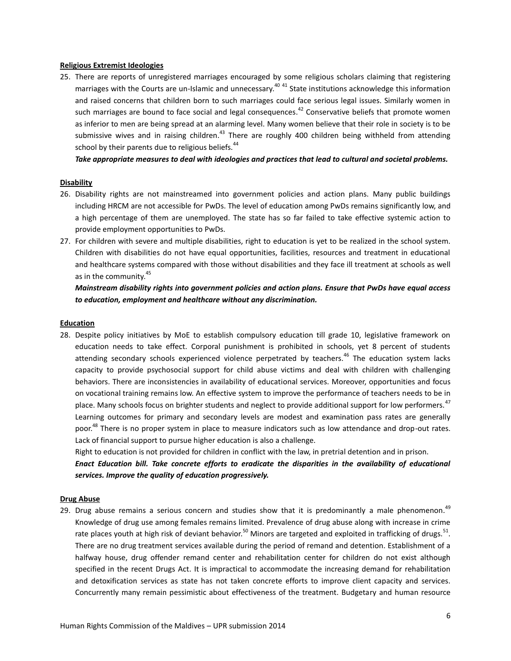#### <span id="page-5-0"></span>**Religious Extremist Ideologies**

25. There are reports of unregistered marriages encouraged by some religious scholars claiming that registering marriages with the Courts are un-Islamic and unnecessary.<sup>40 41</sup> State institutions acknowledge this information and raised concerns that children born to such marriages could face serious legal issues. Similarly women in such marriages are bound to face social and legal consequences.<sup>42</sup> Conservative beliefs that promote women as inferior to men are being spread at an alarming level. Many women believe that their role in society is to be submissive wives and in raising children.<sup>43</sup> There are roughly 400 children being withheld from attending school by their parents due to religious beliefs.<sup>44</sup>

*Take appropriate measures to deal with ideologies and practices that lead to cultural and societal problems.*

# <span id="page-5-1"></span>**Disability**

- 26. Disability rights are not mainstreamed into government policies and action plans. Many public buildings including HRCM are not accessible for PwDs. The level of education among PwDs remains significantly low, and a high percentage of them are unemployed. The state has so far failed to take effective systemic action to provide employment opportunities to PwDs.
- 27. For children with severe and multiple disabilities, right to education is yet to be realized in the school system. Children with disabilities do not have equal opportunities, facilities, resources and treatment in educational and healthcare systems compared with those without disabilities and they face ill treatment at schools as well as in the community.<sup>45</sup>

*Mainstream disability rights into government policies and action plans. Ensure that PwDs have equal access to education, employment and healthcare without any discrimination.*

# <span id="page-5-2"></span>**Education**

28. Despite policy initiatives by MoE to establish compulsory education till grade 10, legislative framework on education needs to take effect. Corporal punishment is prohibited in schools, yet 8 percent of students attending secondary schools experienced violence perpetrated by teachers.<sup>46</sup> The education system lacks capacity to provide psychosocial support for child abuse victims and deal with children with challenging behaviors. There are inconsistencies in availability of educational services. Moreover, opportunities and focus on vocational training remains low. An effective system to improve the performance of teachers needs to be in place. Many schools focus on brighter students and neglect to provide additional support for low performers.<sup>47</sup> Learning outcomes for primary and secondary levels are modest and examination pass rates are generally poor.<sup>48</sup> There is no proper system in place to measure indicators such as low attendance and drop-out rates. Lack of financial support to pursue higher education is also a challenge.

Right to education is not provided for children in conflict with the law, in pretrial detention and in prison.

*Enact Education bill. Take concrete efforts to eradicate the disparities in the availability of educational services. Improve the quality of education progressively.*

#### <span id="page-5-3"></span>**Drug Abuse**

29. Drug abuse remains a serious concern and studies show that it is predominantly a male phenomenon.<sup>49</sup> Knowledge of drug use among females remains limited. Prevalence of drug abuse along with increase in crime rate places youth at high risk of deviant behavior.<sup>50</sup> Minors are targeted and exploited in trafficking of drugs.<sup>51</sup>. There are no drug treatment services available during the period of remand and detention. Establishment of a halfway house, drug offender remand center and rehabilitation center for children do not exist although specified in the recent Drugs Act. It is impractical to accommodate the increasing demand for rehabilitation and detoxification services as state has not taken concrete efforts to improve client capacity and services. Concurrently many remain pessimistic about effectiveness of the treatment. Budgetary and human resource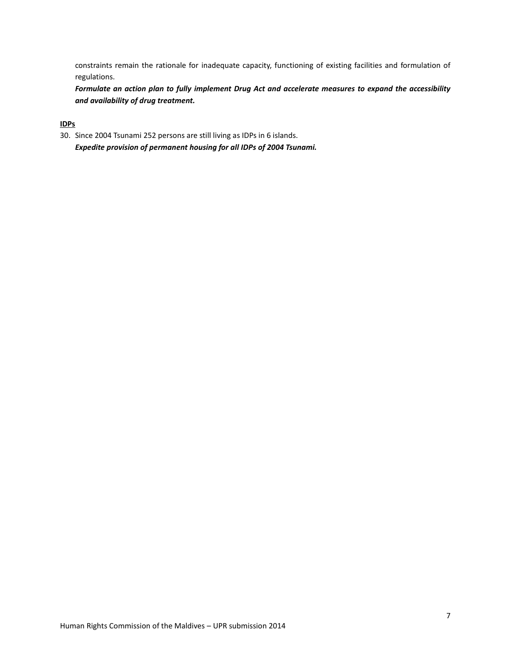constraints remain the rationale for inadequate capacity, functioning of existing facilities and formulation of regulations.

*Formulate an action plan to fully implement Drug Act and accelerate measures to expand the accessibility and availability of drug treatment.*

# <span id="page-6-0"></span>**IDPs**

30. Since 2004 Tsunami 252 persons are still living as IDPs in 6 islands. *Expedite provision of permanent housing for all IDPs of 2004 Tsunami.*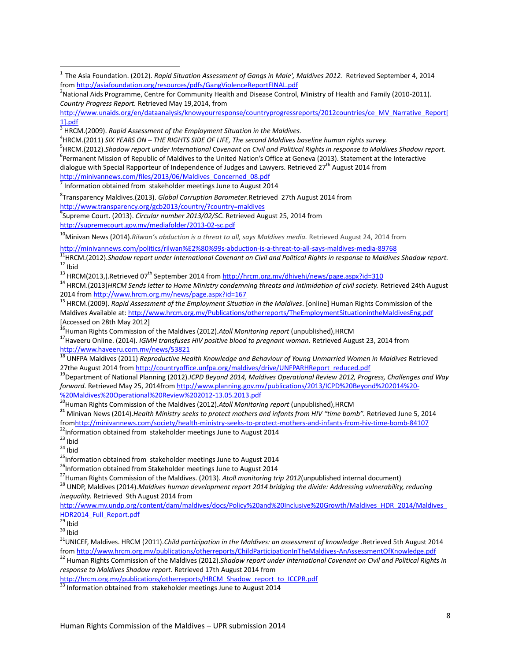5 HRCM.(2012).*Shadow report under International Covenant on Civil and Political Rights in response to Maldives Shadow report.*

<sup>6</sup>Permanent Mission of Republic of Maldives to the United Nation's Office at Geneva (2013). Statement at the Interactive

dialogue with Special Rapporteur of Independence of Judges and Lawyers. Retrieved 27<sup>th</sup> August 2014 from [http://minivannews.com/files/2013/06/Maldives\\_Concerned\\_08.pdf](http://minivannews.com/files/2013/06/Maldives_Concerned_08.pdf)

 $<sup>7</sup>$  Information obtained from stakeholder meetings June to August 2014</sup>

8 Transparency Maldives.(2013). *Global Corruption Barometer.*Retrieved 27th August 2014 from <http://www.transparency.org/gcb2013/country/?country=maldives>

9 Supreme Court. (2013). *Circular number 2013/02/SC*. Retrieved August 25, 2014 from <http://supremecourt.gov.mv/mediafolder/2013-02-sc.pdf>

<sup>10</sup>Minivan News (2014).*Rilwan's abduction is a threat to all, says Maldives media. Retrieved August 24, 2014 from* 

<http://minivannews.com/politics/rilwan%E2%80%99s-abduction-is-a-threat-to-all-says-maldives-media-89768>

<sup>11</sup>HRCM.(2012).Shadow report under International Covenant on Civil and Political Rights in response to Maldives Shadow report.  $12$  Ibid

<sup>13</sup> HRCM(2013,).Retrieved 07<sup>th</sup> September 2014 from<http://hrcm.org.mv/dhivehi/news/page.aspx?id=310>

<sup>14</sup> HRCM.(2013)*HRCM Sends letter to Home Ministry condemning threats and intimidation of civil society.* Retrieved 24th August 2014 fro[m http://www.hrcm.org.mv/news/page.aspx?id=167](http://www.hrcm.org.mv/news/page.aspx?id=167)

<sup>15</sup> HRCM.(2009). *Rapid Assessment of the Employment Situation in the Maldives*. [online] Human Rights Commission of the Maldives Available at[: http://www.hrcm.org.mv/Publications/otherreports/TheEmploymentSituationintheMaldivesEng.pdf](http://www.hrcm.org.mv/Publications/otherreports/TheEmploymentSituationintheMaldivesEng.pdf) [Accessed on 28th May 2012]

<sup>16</sup>Human Rights Commission of the Maldives (2012). Atoll Monitoring report (unpublished), HRCM

<sup>17</sup>Haveeru Online. (2014). *IGMH transfuses HIV positive blood to pregnant woman.* Retrieved August 23, 2014 from <http://www.haveeru.com.mv/news/53821>

<sup>18</sup> UNFPA Maldives (2011) *Reproductive Health Knowledge and Behaviour of Young Unmarried Women in Maldives* Retrieved 27the August 2014 fro[m http://countryoffice.unfpa.org/maldives/drive/UNFPARHReport\\_reduced.pdf](http://countryoffice.unfpa.org/maldives/drive/UNFPARHReport_reduced.pdf)

<sup>19</sup>Department of National Planning (2012).*ICPD Beyond 2014, Maldives Operational Review 2012, Progress, Challenges and Way forward.* Retrieved May 25, 2014from [http://www.planning.gov.mv/publications/2013/ICPD%20Beyond%202014%20-](http://www.planning.gov.mv/publications/2013/ICPD%20Beyond%202014%20-%20Maldives%20Operational%20Review%202012-13.05.2013.pdf) [%20Maldives%20Operational%20Review%202012-13.05.2013.pdf](http://www.planning.gov.mv/publications/2013/ICPD%20Beyond%202014%20-%20Maldives%20Operational%20Review%202012-13.05.2013.pdf)

<sup>20</sup>Human Rights Commission of the Maldives (2012).*Atoll Monitoring report* (unpublished),HRCM

**<sup>21</sup>** Minivan News (2014).*Health Ministry seeks to protect mothers and infants from HIV "time bomb".* Retrieved June 5, 2014 fro[mhttp://minivannews.com/society/health-ministry-seeks-to-protect-mothers-and-infants-from-hiv-time-bomb-84107](http://minivannews.com/society/health-ministry-seeks-to-protect-mothers-and-infants-from-hiv-time-bomb-84107)

<sup>22</sup>Information obtained from stakeholder meetings June to August 2014

 $23$  Ibid

 $\overline{\phantom{a}}$ 

 $24$  Ibid

<sup>25</sup>Information obtained from stakeholder meetings June to August 2014

<sup>26</sup>Information obtained from Stakeholder meetings June to August 2014

<sup>27</sup>Human Rights Commission of the Maldives. (2013). *Atoll monitoring trip 2012*(unpublished internal document)

<sup>28</sup> UNDP, Maldives (2014).*Maldives human development report 2014 bridging the divide: Addressing vulnerability, reducing inequality.* Retrieved 9th August 2014 from

[http://www.mv.undp.org/content/dam/maldives/docs/Policy%20and%20Inclusive%20Growth/Maldives\\_HDR\\_2014/Maldives\\_](http://www.mv.undp.org/content/dam/maldives/docs/Policy%20and%20Inclusive%20Growth/Maldives_HDR_2014/Maldives_HDR2014_Full_Report.pdf) [HDR2014\\_Full\\_Report.pdf](http://www.mv.undp.org/content/dam/maldives/docs/Policy%20and%20Inclusive%20Growth/Maldives_HDR_2014/Maldives_HDR2014_Full_Report.pdf)

 $30$  Ibid

<sup>31</sup>UNICEF, Maldives. HRCM (2011).*Child participation in the Maldives: an assessment of knowledge* .Retrieved 5th August 2014 fro[m http://www.hrcm.org.mv/publications/otherreports/ChildParticipationInTheMaldives-AnAssessmentOfKnowledge.pdf](http://www.hrcm.org.mv/publications/otherreports/ChildParticipationInTheMaldives-AnAssessmentOfKnowledge.pdf)

<sup>32</sup> Human Rights Commission of the Maldives (2012).Shadow report under International Covenant on Civil and Political Rights in *response to Maldives Shadow report.* Retrieved 17th August 2014 from

[http://hrcm.org.mv/publications/otherreports/HRCM\\_Shadow\\_report\\_to\\_ICCPR.pdf](http://hrcm.org.mv/publications/otherreports/HRCM_Shadow_report_to_ICCPR.pdf)

 $33$  Information obtained from stakeholder meetings June to August 2014

<sup>&</sup>lt;sup>1</sup> The Asia Foundation. (2012). *Rapid Situation Assessment of Gangs in Male', Maldives 2012. Retrieved September 4, 2014* from <http://asiafoundation.org/resources/pdfs/GangViolenceReportFINAL.pdf>

<sup>&</sup>lt;sup>2</sup>National Aids Programme, Centre for Community Health and Disease Control, Ministry of Health and Family (2010-2011). *Country Progress Report.* Retrieved May 19,2014, from

http://www.unaids.org/en/dataanalysis/knowyourresponse/countryprogressreports/2012countries/ce\_MV\_Narrative\_Report[ 1].pdf

<sup>3</sup> HRCM.(2009). *Rapid Assessment of the Employment Situation in the Maldives.*

<sup>4</sup> HRCM.(2011) *SIX YEARS ON – THE RIGHTS SIDE OF LIFE, The second Maldives baseline human rights survey.*

 $\overline{^{29}}$  Ibid